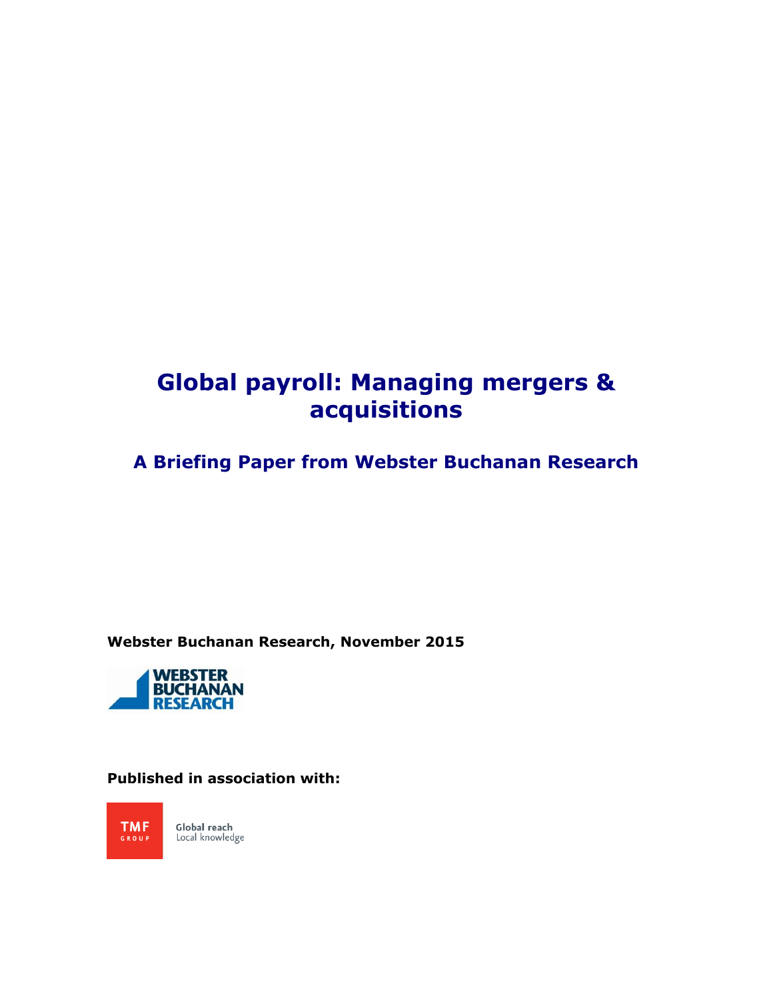# **Global payroll: Managing mergers & acquisitions**

**A Briefing Paper from Webster Buchanan Research**

**Webster Buchanan Research, November 2015**



### **Published in association with:**

**TMF** Global reach<br>Local knowledge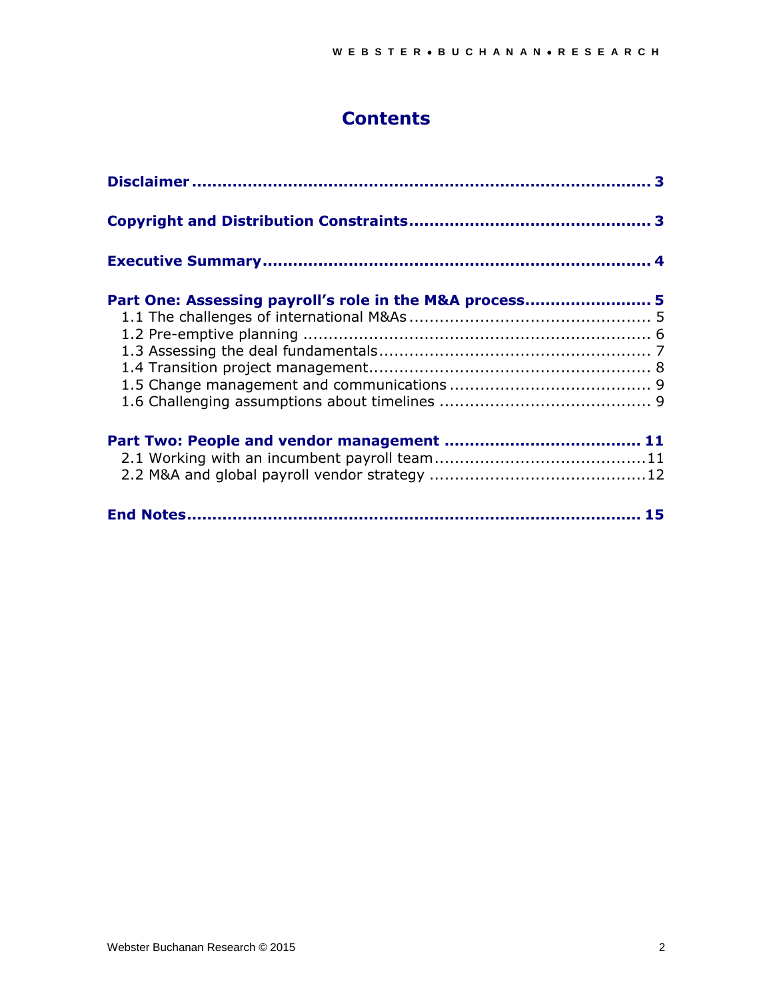# **Contents**

| Part One: Assessing payroll's role in the M&A process 5 |  |
|---------------------------------------------------------|--|
|                                                         |  |
|                                                         |  |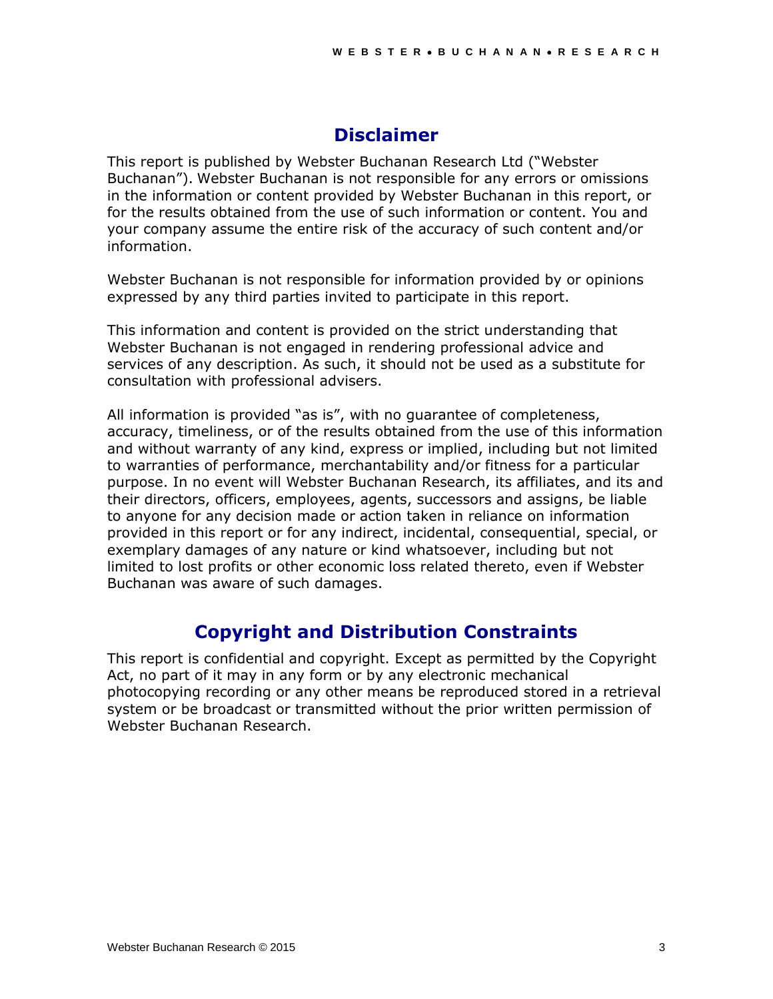# **Disclaimer**

This report is published by Webster Buchanan Research Ltd ("Webster Buchanan"). Webster Buchanan is not responsible for any errors or omissions in the information or content provided by Webster Buchanan in this report, or for the results obtained from the use of such information or content. You and your company assume the entire risk of the accuracy of such content and/or information.

Webster Buchanan is not responsible for information provided by or opinions expressed by any third parties invited to participate in this report.

This information and content is provided on the strict understanding that Webster Buchanan is not engaged in rendering professional advice and services of any description. As such, it should not be used as a substitute for consultation with professional advisers.

All information is provided "as is", with no guarantee of completeness, accuracy, timeliness, or of the results obtained from the use of this information and without warranty of any kind, express or implied, including but not limited to warranties of performance, merchantability and/or fitness for a particular purpose. In no event will Webster Buchanan Research, its affiliates, and its and their directors, officers, employees, agents, successors and assigns, be liable to anyone for any decision made or action taken in reliance on information provided in this report or for any indirect, incidental, consequential, special, or exemplary damages of any nature or kind whatsoever, including but not limited to lost profits or other economic loss related thereto, even if Webster Buchanan was aware of such damages.

# **Copyright and Distribution Constraints**

This report is confidential and copyright. Except as permitted by the Copyright Act, no part of it may in any form or by any electronic mechanical photocopying recording or any other means be reproduced stored in a retrieval system or be broadcast or transmitted without the prior written permission of Webster Buchanan Research.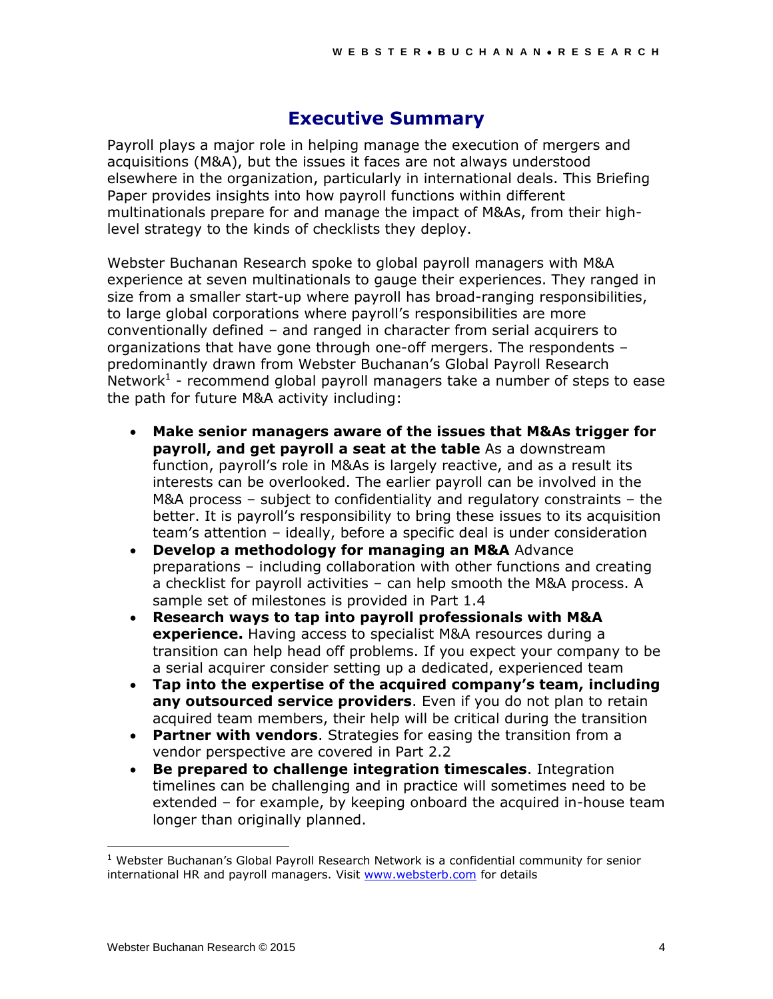### **Executive Summary**

Payroll plays a major role in helping manage the execution of mergers and acquisitions (M&A), but the issues it faces are not always understood elsewhere in the organization, particularly in international deals. This Briefing Paper provides insights into how payroll functions within different multinationals prepare for and manage the impact of M&As, from their highlevel strategy to the kinds of checklists they deploy.

Webster Buchanan Research spoke to global payroll managers with M&A experience at seven multinationals to gauge their experiences. They ranged in size from a smaller start-up where payroll has broad-ranging responsibilities, to large global corporations where payroll's responsibilities are more conventionally defined – and ranged in character from serial acquirers to organizations that have gone through one-off mergers. The respondents – predominantly drawn from Webster Buchanan's Global Payroll Research Network<sup>1</sup> - recommend global payroll managers take a number of steps to ease the path for future M&A activity including:

- **Make senior managers aware of the issues that M&As trigger for payroll, and get payroll a seat at the table** As a downstream function, payroll's role in M&As is largely reactive, and as a result its interests can be overlooked. The earlier payroll can be involved in the M&A process – subject to confidentiality and regulatory constraints – the better. It is payroll's responsibility to bring these issues to its acquisition team's attention – ideally, before a specific deal is under consideration
- **Develop a methodology for managing an M&A** Advance preparations – including collaboration with other functions and creating a checklist for payroll activities – can help smooth the M&A process. A sample set of milestones is provided in Part 1.4
- **Research ways to tap into payroll professionals with M&A experience.** Having access to specialist M&A resources during a transition can help head off problems. If you expect your company to be a serial acquirer consider setting up a dedicated, experienced team
- **Tap into the expertise of the acquired company's team, including any outsourced service providers**. Even if you do not plan to retain acquired team members, their help will be critical during the transition
- **Partner with vendors**. Strategies for easing the transition from a vendor perspective are covered in Part 2.2
- **Be prepared to challenge integration timescales**. Integration timelines can be challenging and in practice will sometimes need to be extended – for example, by keeping onboard the acquired in-house team longer than originally planned.

l

 $1$  Webster Buchanan's Global Payroll Research Network is a confidential community for senior international HR and payroll managers. Visit [www.websterb.com](http://www.websterb.com/) for details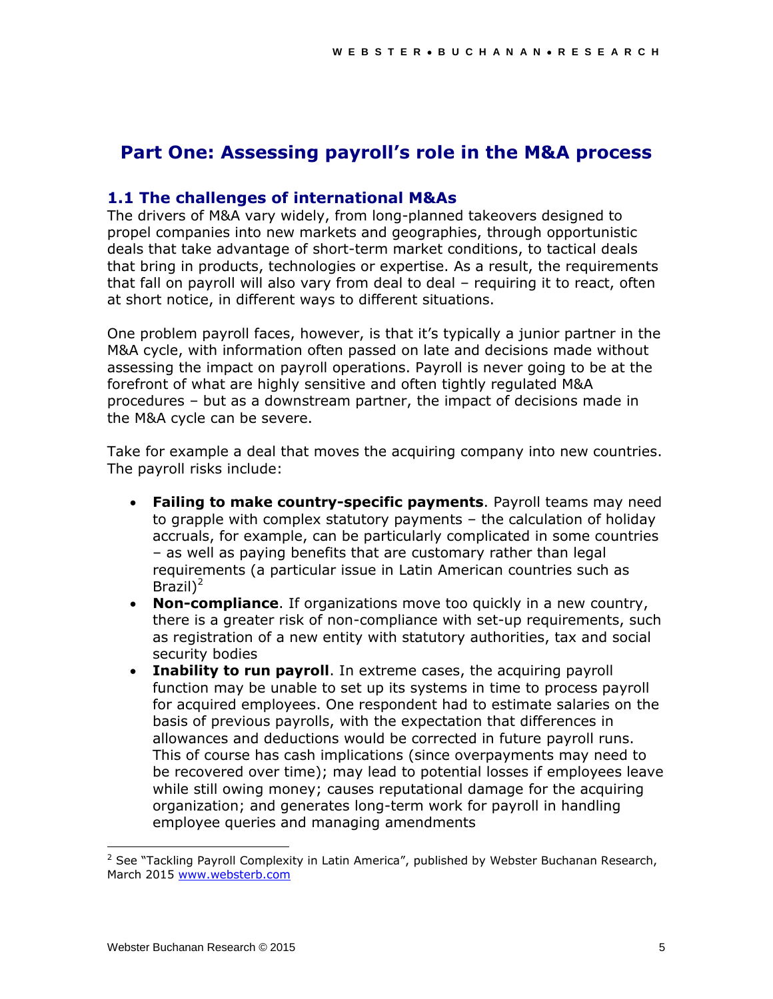## **Part One: Assessing payroll's role in the M&A process**

### **1.1 The challenges of international M&As**

The drivers of M&A vary widely, from long-planned takeovers designed to propel companies into new markets and geographies, through opportunistic deals that take advantage of short-term market conditions, to tactical deals that bring in products, technologies or expertise. As a result, the requirements that fall on payroll will also vary from deal to deal – requiring it to react, often at short notice, in different ways to different situations.

One problem payroll faces, however, is that it's typically a junior partner in the M&A cycle, with information often passed on late and decisions made without assessing the impact on payroll operations. Payroll is never going to be at the forefront of what are highly sensitive and often tightly regulated M&A procedures – but as a downstream partner, the impact of decisions made in the M&A cycle can be severe.

Take for example a deal that moves the acquiring company into new countries. The payroll risks include:

- **Failing to make country-specific payments**. Payroll teams may need to grapple with complex statutory payments – the calculation of holiday accruals, for example, can be particularly complicated in some countries – as well as paying benefits that are customary rather than legal requirements (a particular issue in Latin American countries such as Brazil) 2
- **Non-compliance**. If organizations move too quickly in a new country, there is a greater risk of non-compliance with set-up requirements, such as registration of a new entity with statutory authorities, tax and social security bodies
- **Inability to run payroll**. In extreme cases, the acquiring payroll function may be unable to set up its systems in time to process payroll for acquired employees. One respondent had to estimate salaries on the basis of previous payrolls, with the expectation that differences in allowances and deductions would be corrected in future payroll runs. This of course has cash implications (since overpayments may need to be recovered over time); may lead to potential losses if employees leave while still owing money; causes reputational damage for the acquiring organization; and generates long-term work for payroll in handling employee queries and managing amendments

l

 $2$  See "Tackling Payroll Complexity in Latin America", published by Webster Buchanan Research, March 2015 [www.websterb.com](http://www.websterb.com/)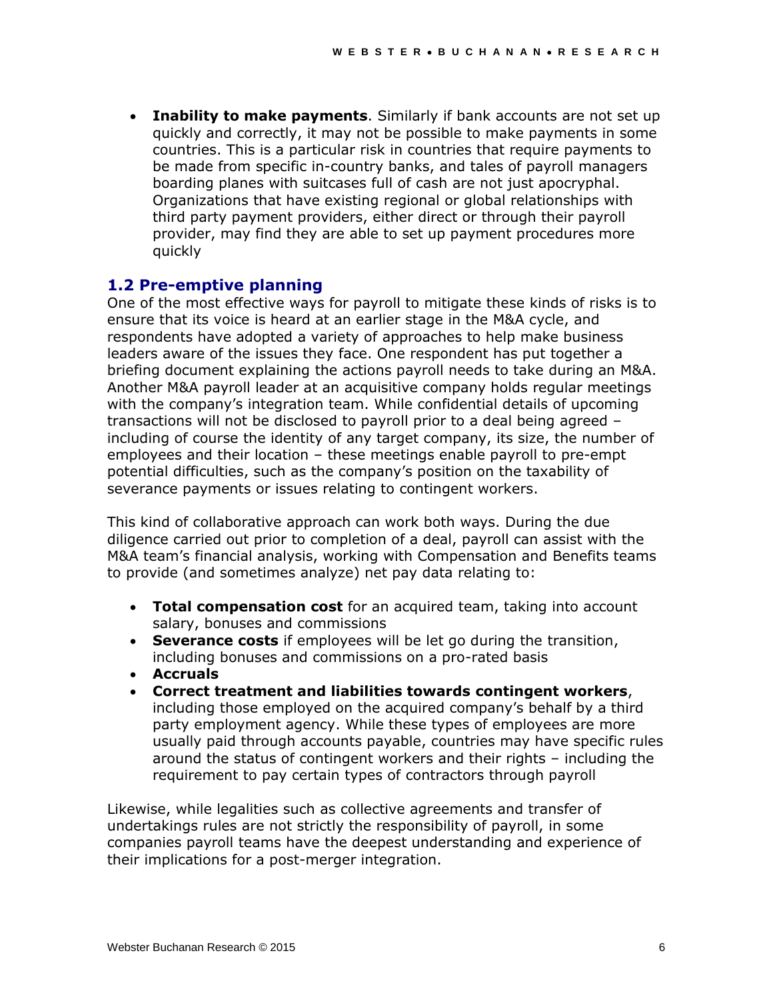**Inability to make payments**. Similarly if bank accounts are not set up quickly and correctly, it may not be possible to make payments in some countries. This is a particular risk in countries that require payments to be made from specific in-country banks, and tales of payroll managers boarding planes with suitcases full of cash are not just apocryphal. Organizations that have existing regional or global relationships with third party payment providers, either direct or through their payroll provider, may find they are able to set up payment procedures more quickly

### **1.2 Pre-emptive planning**

One of the most effective ways for payroll to mitigate these kinds of risks is to ensure that its voice is heard at an earlier stage in the M&A cycle, and respondents have adopted a variety of approaches to help make business leaders aware of the issues they face. One respondent has put together a briefing document explaining the actions payroll needs to take during an M&A. Another M&A payroll leader at an acquisitive company holds regular meetings with the company's integration team. While confidential details of upcoming transactions will not be disclosed to payroll prior to a deal being agreed – including of course the identity of any target company, its size, the number of employees and their location – these meetings enable payroll to pre-empt potential difficulties, such as the company's position on the taxability of severance payments or issues relating to contingent workers.

This kind of collaborative approach can work both ways. During the due diligence carried out prior to completion of a deal, payroll can assist with the M&A team's financial analysis, working with Compensation and Benefits teams to provide (and sometimes analyze) net pay data relating to:

- **Total compensation cost** for an acquired team, taking into account salary, bonuses and commissions
- **Severance costs** if employees will be let go during the transition, including bonuses and commissions on a pro-rated basis
- **Accruals**
- **Correct treatment and liabilities towards contingent workers**, including those employed on the acquired company's behalf by a third party employment agency. While these types of employees are more usually paid through accounts payable, countries may have specific rules around the status of contingent workers and their rights – including the requirement to pay certain types of contractors through payroll

Likewise, while legalities such as collective agreements and transfer of undertakings rules are not strictly the responsibility of payroll, in some companies payroll teams have the deepest understanding and experience of their implications for a post-merger integration.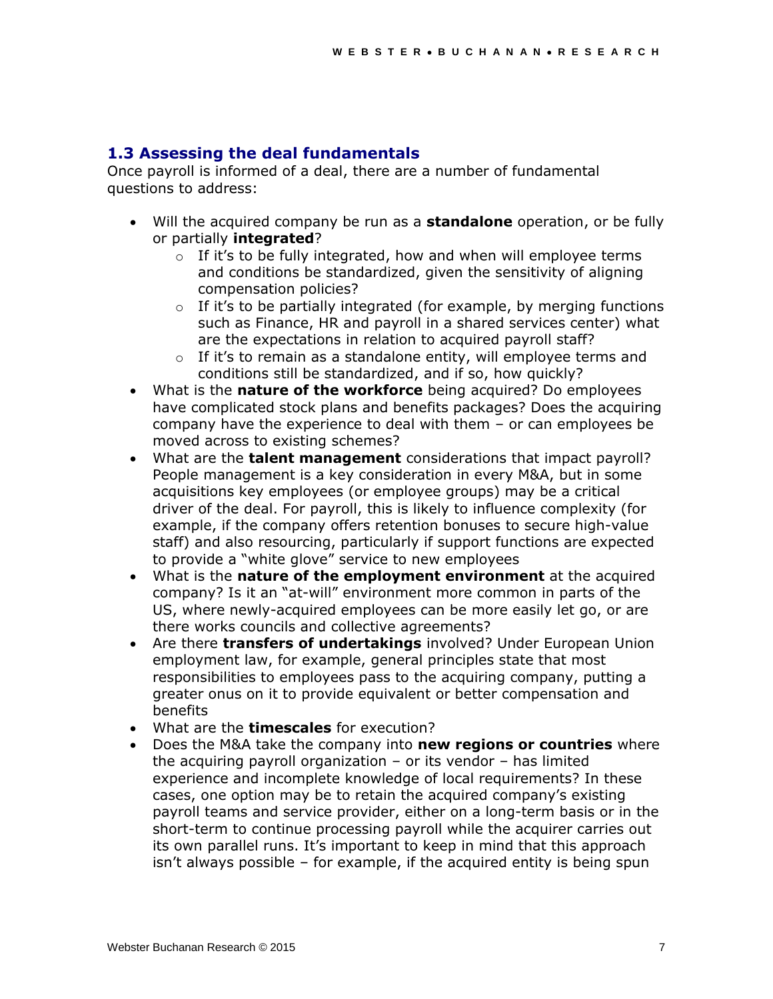### **1.3 Assessing the deal fundamentals**

Once payroll is informed of a deal, there are a number of fundamental questions to address:

- Will the acquired company be run as a **standalone** operation, or be fully or partially **integrated**?
	- $\circ$  If it's to be fully integrated, how and when will employee terms and conditions be standardized, given the sensitivity of aligning compensation policies?
	- $\circ$  If it's to be partially integrated (for example, by merging functions such as Finance, HR and payroll in a shared services center) what are the expectations in relation to acquired payroll staff?
	- $\circ$  If it's to remain as a standalone entity, will employee terms and conditions still be standardized, and if so, how quickly?
- What is the **nature of the workforce** being acquired? Do employees have complicated stock plans and benefits packages? Does the acquiring company have the experience to deal with them – or can employees be moved across to existing schemes?
- What are the **talent management** considerations that impact payroll? People management is a key consideration in every M&A, but in some acquisitions key employees (or employee groups) may be a critical driver of the deal. For payroll, this is likely to influence complexity (for example, if the company offers retention bonuses to secure high-value staff) and also resourcing, particularly if support functions are expected to provide a "white glove" service to new employees
- What is the **nature of the employment environment** at the acquired company? Is it an "at-will" environment more common in parts of the US, where newly-acquired employees can be more easily let go, or are there works councils and collective agreements?
- Are there **transfers of undertakings** involved? Under European Union employment law, for example, general principles state that most responsibilities to employees pass to the acquiring company, putting a greater onus on it to provide equivalent or better compensation and benefits
- What are the **timescales** for execution?
- Does the M&A take the company into **new regions or countries** where the acquiring payroll organization  $-$  or its vendor  $-$  has limited experience and incomplete knowledge of local requirements? In these cases, one option may be to retain the acquired company's existing payroll teams and service provider, either on a long-term basis or in the short-term to continue processing payroll while the acquirer carries out its own parallel runs. It's important to keep in mind that this approach isn't always possible – for example, if the acquired entity is being spun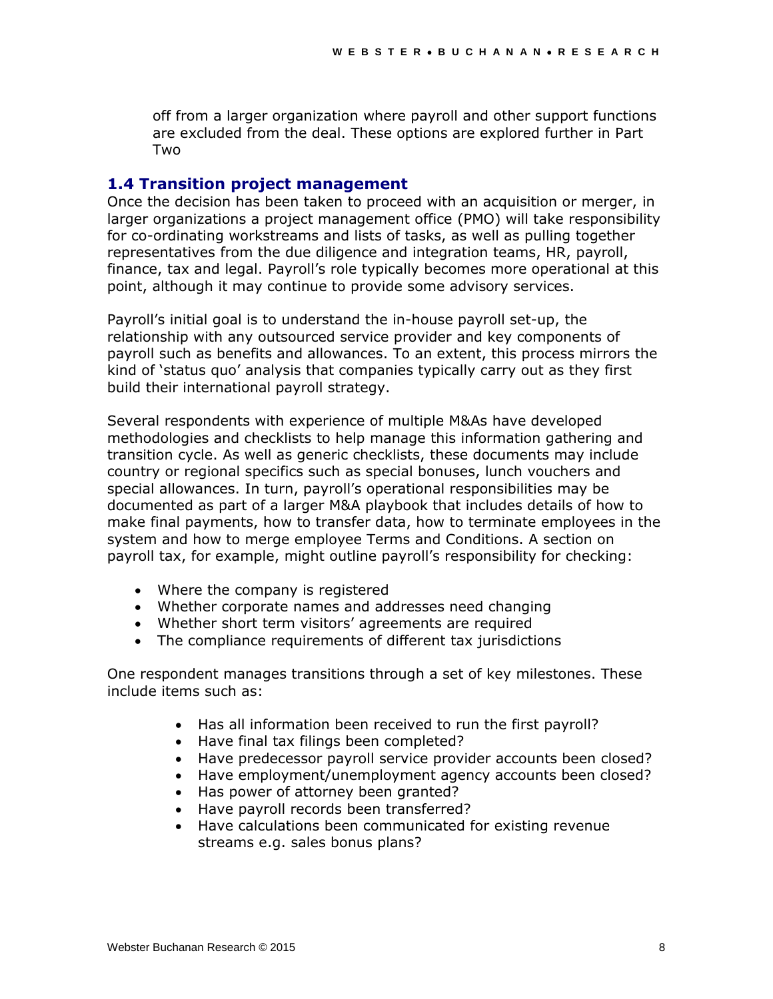off from a larger organization where payroll and other support functions are excluded from the deal. These options are explored further in Part Two

#### **1.4 Transition project management**

Once the decision has been taken to proceed with an acquisition or merger, in larger organizations a project management office (PMO) will take responsibility for co-ordinating workstreams and lists of tasks, as well as pulling together representatives from the due diligence and integration teams, HR, payroll, finance, tax and legal. Payroll's role typically becomes more operational at this point, although it may continue to provide some advisory services.

Payroll's initial goal is to understand the in-house payroll set-up, the relationship with any outsourced service provider and key components of payroll such as benefits and allowances. To an extent, this process mirrors the kind of 'status quo' analysis that companies typically carry out as they first build their international payroll strategy.

Several respondents with experience of multiple M&As have developed methodologies and checklists to help manage this information gathering and transition cycle. As well as generic checklists, these documents may include country or regional specifics such as special bonuses, lunch vouchers and special allowances. In turn, payroll's operational responsibilities may be documented as part of a larger M&A playbook that includes details of how to make final payments, how to transfer data, how to terminate employees in the system and how to merge employee Terms and Conditions. A section on payroll tax, for example, might outline payroll's responsibility for checking:

- Where the company is registered
- Whether corporate names and addresses need changing
- Whether short term visitors' agreements are required
- The compliance requirements of different tax jurisdictions

One respondent manages transitions through a set of key milestones. These include items such as:

- Has all information been received to run the first payroll?
- Have final tax filings been completed?
- Have predecessor payroll service provider accounts been closed?
- Have employment/unemployment agency accounts been closed?
- Has power of attorney been granted?
- Have payroll records been transferred?
- Have calculations been communicated for existing revenue streams e.g. sales bonus plans?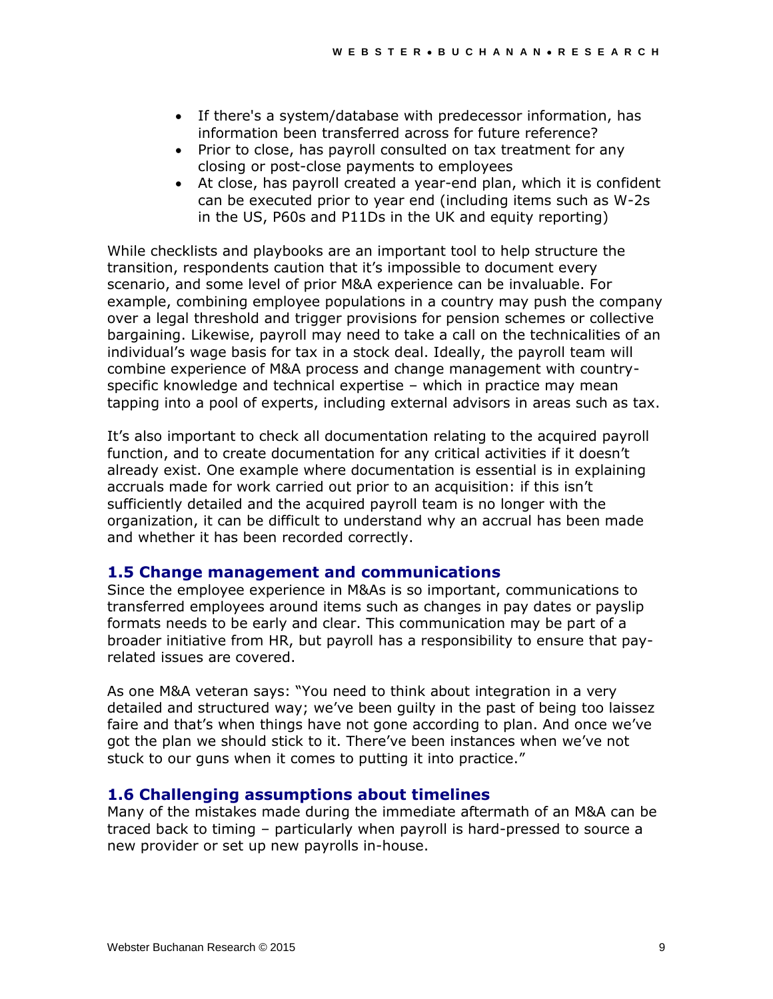- If there's a system/database with predecessor information, has information been transferred across for future reference?
- Prior to close, has payroll consulted on tax treatment for any closing or post-close payments to employees
- At close, has payroll created a year-end plan, which it is confident can be executed prior to year end (including items such as W-2s in the US, P60s and P11Ds in the UK and equity reporting)

While checklists and playbooks are an important tool to help structure the transition, respondents caution that it's impossible to document every scenario, and some level of prior M&A experience can be invaluable. For example, combining employee populations in a country may push the company over a legal threshold and trigger provisions for pension schemes or collective bargaining. Likewise, payroll may need to take a call on the technicalities of an individual's wage basis for tax in a stock deal. Ideally, the payroll team will combine experience of M&A process and change management with countryspecific knowledge and technical expertise – which in practice may mean tapping into a pool of experts, including external advisors in areas such as tax.

It's also important to check all documentation relating to the acquired payroll function, and to create documentation for any critical activities if it doesn't already exist. One example where documentation is essential is in explaining accruals made for work carried out prior to an acquisition: if this isn't sufficiently detailed and the acquired payroll team is no longer with the organization, it can be difficult to understand why an accrual has been made and whether it has been recorded correctly.

#### **1.5 Change management and communications**

Since the employee experience in M&As is so important, communications to transferred employees around items such as changes in pay dates or payslip formats needs to be early and clear. This communication may be part of a broader initiative from HR, but payroll has a responsibility to ensure that payrelated issues are covered.

As one M&A veteran says: "You need to think about integration in a very detailed and structured way; we've been guilty in the past of being too laissez faire and that's when things have not gone according to plan. And once we've got the plan we should stick to it. There've been instances when we've not stuck to our guns when it comes to putting it into practice."

#### **1.6 Challenging assumptions about timelines**

Many of the mistakes made during the immediate aftermath of an M&A can be traced back to timing – particularly when payroll is hard-pressed to source a new provider or set up new payrolls in-house.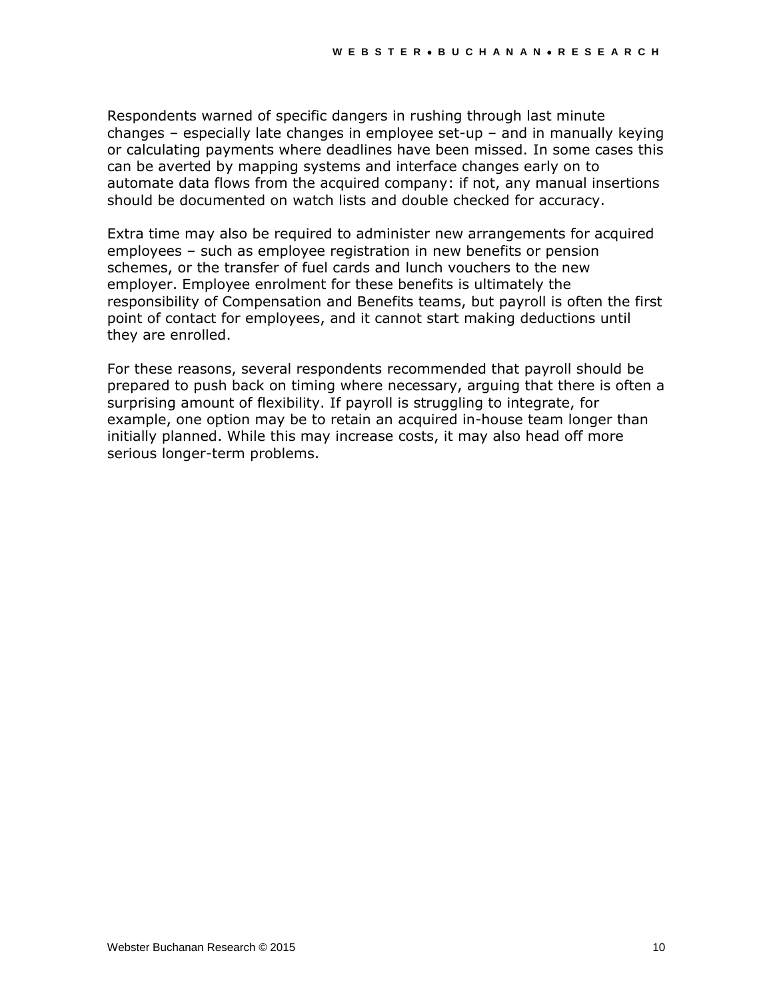Respondents warned of specific dangers in rushing through last minute changes – especially late changes in employee set-up – and in manually keying or calculating payments where deadlines have been missed. In some cases this can be averted by mapping systems and interface changes early on to automate data flows from the acquired company: if not, any manual insertions should be documented on watch lists and double checked for accuracy.

Extra time may also be required to administer new arrangements for acquired employees – such as employee registration in new benefits or pension schemes, or the transfer of fuel cards and lunch vouchers to the new employer. Employee enrolment for these benefits is ultimately the responsibility of Compensation and Benefits teams, but payroll is often the first point of contact for employees, and it cannot start making deductions until they are enrolled.

For these reasons, several respondents recommended that payroll should be prepared to push back on timing where necessary, arguing that there is often a surprising amount of flexibility. If payroll is struggling to integrate, for example, one option may be to retain an acquired in-house team longer than initially planned. While this may increase costs, it may also head off more serious longer-term problems.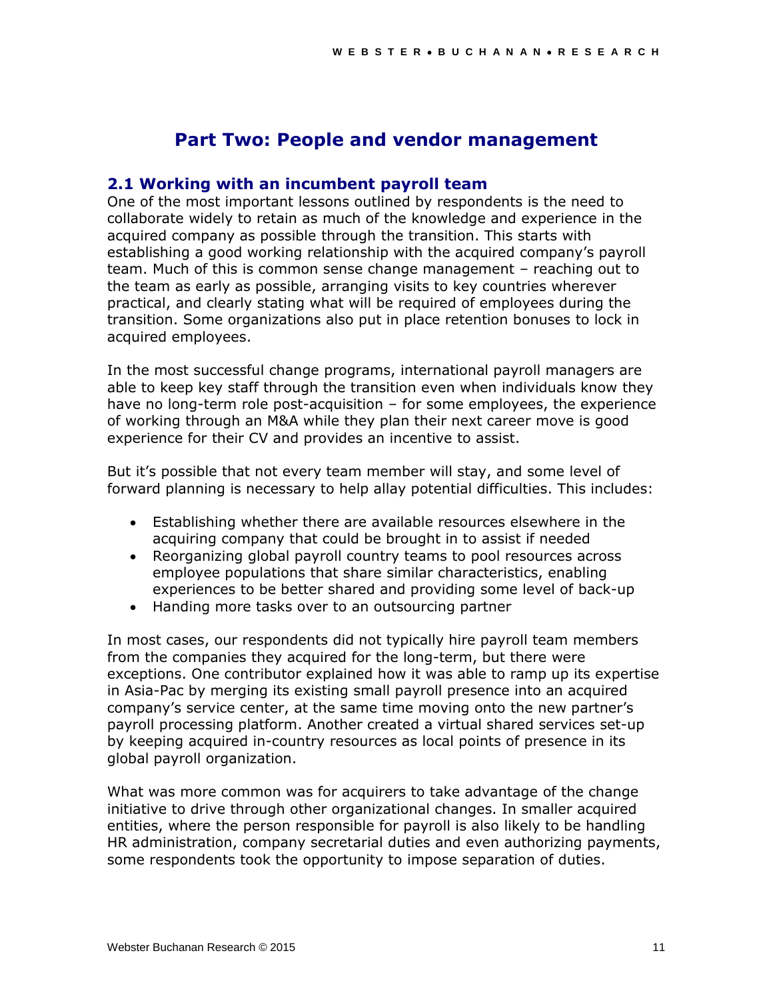# **Part Two: People and vendor management**

#### **2.1 Working with an incumbent payroll team**

One of the most important lessons outlined by respondents is the need to collaborate widely to retain as much of the knowledge and experience in the acquired company as possible through the transition. This starts with establishing a good working relationship with the acquired company's payroll team. Much of this is common sense change management – reaching out to the team as early as possible, arranging visits to key countries wherever practical, and clearly stating what will be required of employees during the transition. Some organizations also put in place retention bonuses to lock in acquired employees.

In the most successful change programs, international payroll managers are able to keep key staff through the transition even when individuals know they have no long-term role post-acquisition – for some employees, the experience of working through an M&A while they plan their next career move is good experience for their CV and provides an incentive to assist.

But it's possible that not every team member will stay, and some level of forward planning is necessary to help allay potential difficulties. This includes:

- Establishing whether there are available resources elsewhere in the acquiring company that could be brought in to assist if needed
- Reorganizing global payroll country teams to pool resources across employee populations that share similar characteristics, enabling experiences to be better shared and providing some level of back-up
- Handing more tasks over to an outsourcing partner

In most cases, our respondents did not typically hire payroll team members from the companies they acquired for the long-term, but there were exceptions. One contributor explained how it was able to ramp up its expertise in Asia-Pac by merging its existing small payroll presence into an acquired company's service center, at the same time moving onto the new partner's payroll processing platform. Another created a virtual shared services set-up by keeping acquired in-country resources as local points of presence in its global payroll organization.

What was more common was for acquirers to take advantage of the change initiative to drive through other organizational changes. In smaller acquired entities, where the person responsible for payroll is also likely to be handling HR administration, company secretarial duties and even authorizing payments, some respondents took the opportunity to impose separation of duties.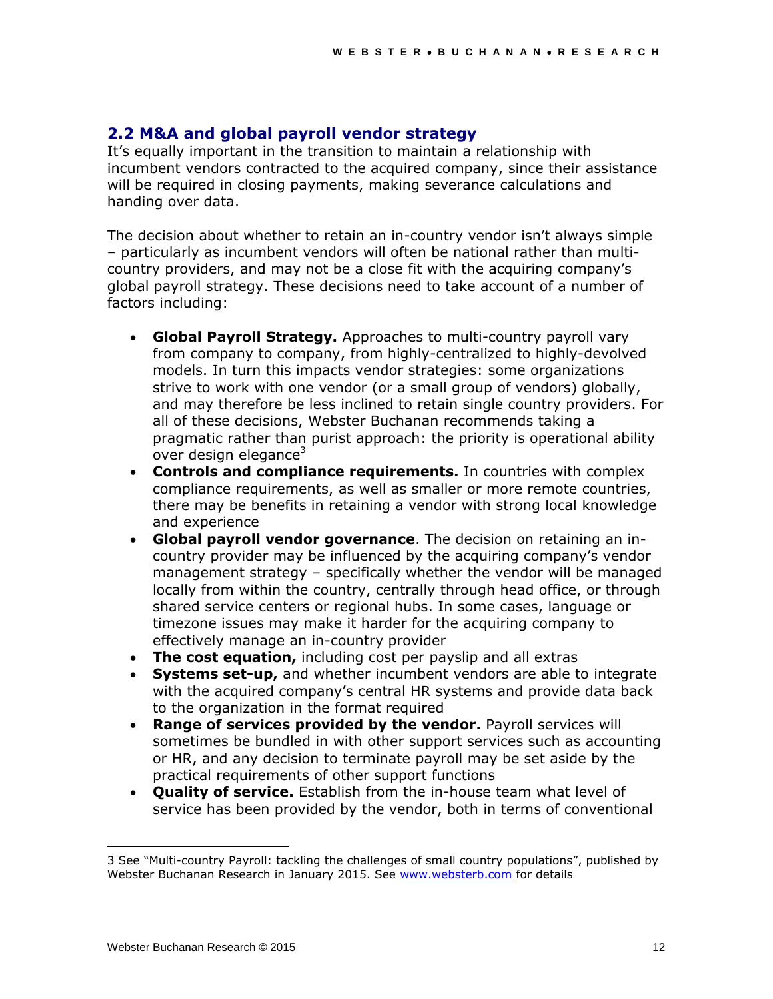### **2.2 M&A and global payroll vendor strategy**

It's equally important in the transition to maintain a relationship with incumbent vendors contracted to the acquired company, since their assistance will be required in closing payments, making severance calculations and handing over data.

The decision about whether to retain an in-country vendor isn't always simple – particularly as incumbent vendors will often be national rather than multicountry providers, and may not be a close fit with the acquiring company's global payroll strategy. These decisions need to take account of a number of factors including:

- **Global Payroll Strategy.** Approaches to multi-country payroll vary from company to company, from highly-centralized to highly-devolved models. In turn this impacts vendor strategies: some organizations strive to work with one vendor (or a small group of vendors) globally, and may therefore be less inclined to retain single country providers. For all of these decisions, Webster Buchanan recommends taking a pragmatic rather than purist approach: the priority is operational ability over design elegance<sup>3</sup>
- **Controls and compliance requirements.** In countries with complex compliance requirements, as well as smaller or more remote countries, there may be benefits in retaining a vendor with strong local knowledge and experience
- **Global payroll vendor governance**. The decision on retaining an incountry provider may be influenced by the acquiring company's vendor management strategy – specifically whether the vendor will be managed locally from within the country, centrally through head office, or through shared service centers or regional hubs. In some cases, language or timezone issues may make it harder for the acquiring company to effectively manage an in-country provider
- **The cost equation,** including cost per payslip and all extras
- **Systems set-up,** and whether incumbent vendors are able to integrate with the acquired company's central HR systems and provide data back to the organization in the format required
- **Range of services provided by the vendor.** Payroll services will sometimes be bundled in with other support services such as accounting or HR, and any decision to terminate payroll may be set aside by the practical requirements of other support functions
- **Quality of service.** Establish from the in-house team what level of service has been provided by the vendor, both in terms of conventional

l

<sup>3</sup> See "Multi-country Payroll: tackling the challenges of small country populations", published by Webster Buchanan Research in January 2015. See [www.websterb.com](http://www.websterb.com/) for details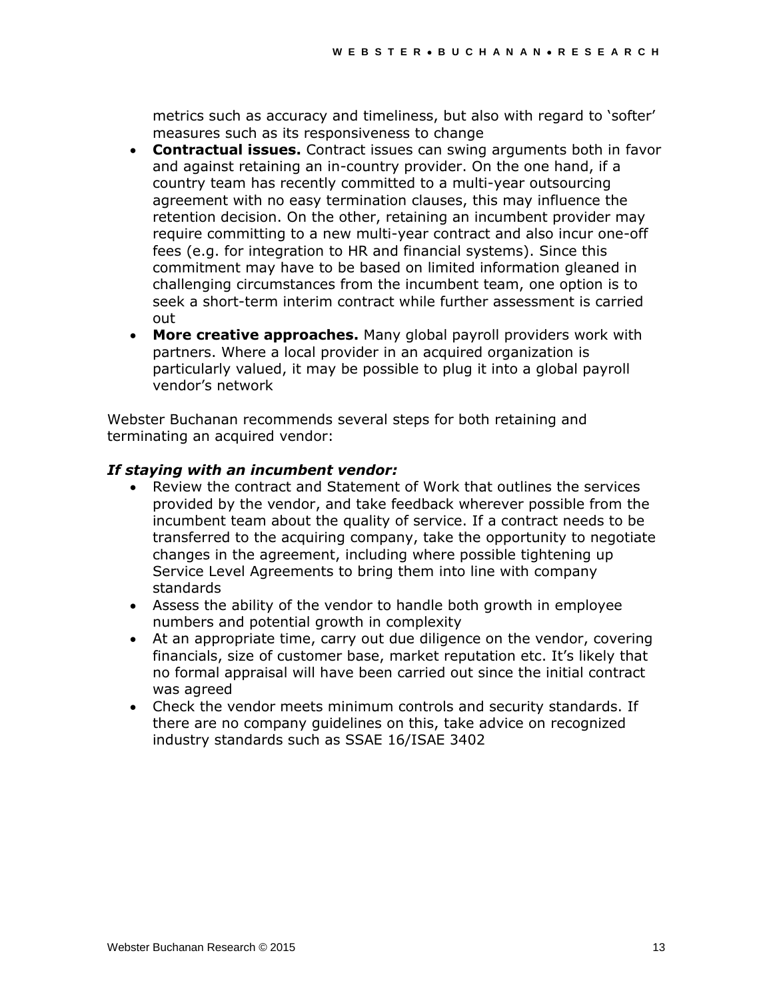metrics such as accuracy and timeliness, but also with regard to 'softer' measures such as its responsiveness to change

- **Contractual issues.** Contract issues can swing arguments both in favor and against retaining an in-country provider. On the one hand, if a country team has recently committed to a multi-year outsourcing agreement with no easy termination clauses, this may influence the retention decision. On the other, retaining an incumbent provider may require committing to a new multi-year contract and also incur one-off fees (e.g. for integration to HR and financial systems). Since this commitment may have to be based on limited information gleaned in challenging circumstances from the incumbent team, one option is to seek a short-term interim contract while further assessment is carried out
- **More creative approaches.** Many global payroll providers work with partners. Where a local provider in an acquired organization is particularly valued, it may be possible to plug it into a global payroll vendor's network

Webster Buchanan recommends several steps for both retaining and terminating an acquired vendor:

#### *If staying with an incumbent vendor:*

- Review the contract and Statement of Work that outlines the services provided by the vendor, and take feedback wherever possible from the incumbent team about the quality of service. If a contract needs to be transferred to the acquiring company, take the opportunity to negotiate changes in the agreement, including where possible tightening up Service Level Agreements to bring them into line with company standards
- Assess the ability of the vendor to handle both growth in employee numbers and potential growth in complexity
- At an appropriate time, carry out due diligence on the vendor, covering financials, size of customer base, market reputation etc. It's likely that no formal appraisal will have been carried out since the initial contract was agreed
- Check the vendor meets minimum controls and security standards. If there are no company guidelines on this, take advice on recognized industry standards such as SSAE 16/ISAE 3402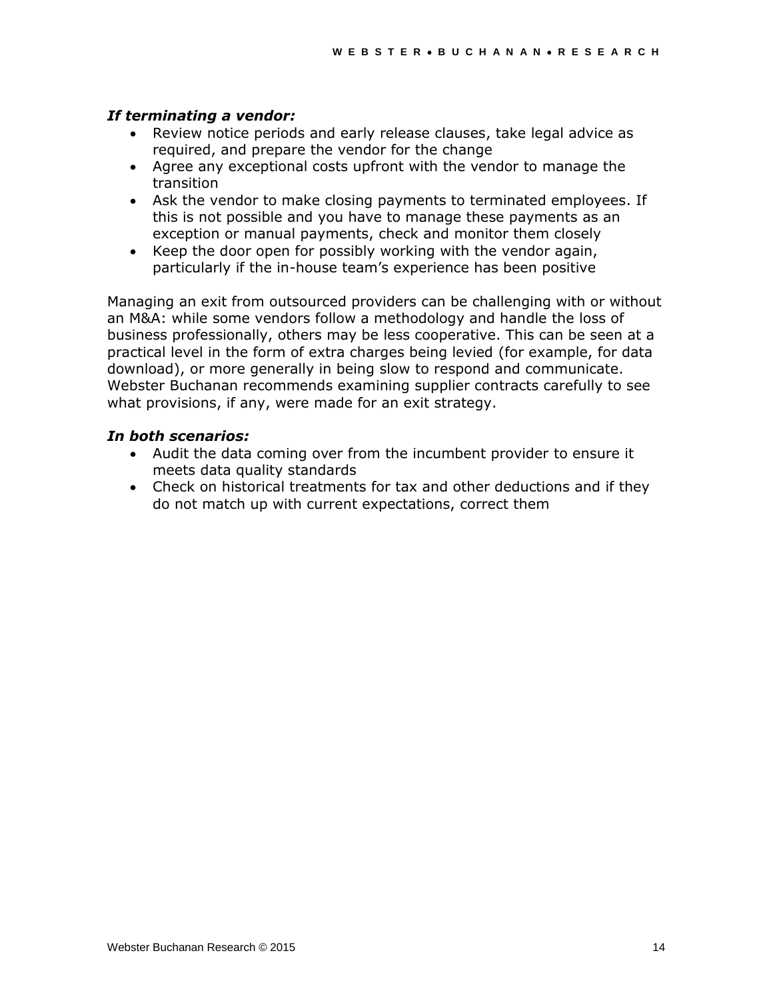#### *If terminating a vendor:*

- Review notice periods and early release clauses, take legal advice as required, and prepare the vendor for the change
- Agree any exceptional costs upfront with the vendor to manage the transition
- Ask the vendor to make closing payments to terminated employees. If this is not possible and you have to manage these payments as an exception or manual payments, check and monitor them closely
- Keep the door open for possibly working with the vendor again, particularly if the in-house team's experience has been positive

Managing an exit from outsourced providers can be challenging with or without an M&A: while some vendors follow a methodology and handle the loss of business professionally, others may be less cooperative. This can be seen at a practical level in the form of extra charges being levied (for example, for data download), or more generally in being slow to respond and communicate. Webster Buchanan recommends examining supplier contracts carefully to see what provisions, if any, were made for an exit strategy.

#### *In both scenarios:*

- Audit the data coming over from the incumbent provider to ensure it meets data quality standards
- Check on historical treatments for tax and other deductions and if they do not match up with current expectations, correct them